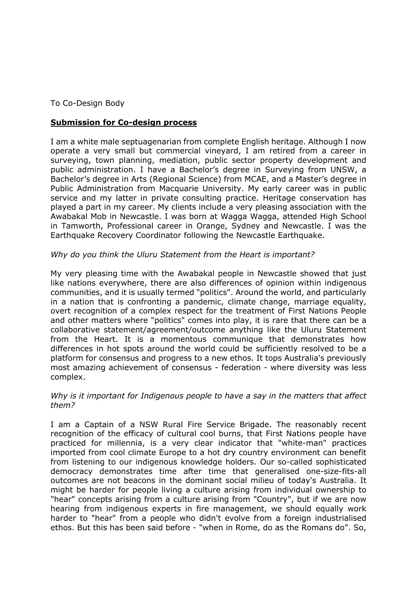To Co-Design Body

# **Submission for Co-design process**

 I am a white male septuagenarian from complete English heritage. Although I now operate a very small but commercial vineyard, I am retired from a career in public administration. I have a Bachelor's degree in Surveying from UNSW, a Bachelor's degree in Arts (Regional Science) from MCAE, and a Master's degree in service and my latter in private consulting practice. Heritage conservation has played a part in my career. My clients include a very pleasing association with the Awabakal Mob in Newcastle. I was born at Wagga Wagga, attended High School in Tamworth, Professional career in Orange, Sydney and Newcastle. I was the surveying, town planning, mediation, public sector property development and Public Administration from Macquarie University. My early career was in public Earthquake Recovery Coordinator following the Newcastle Earthquake.

## *Why do you think the Uluru Statement from the Heart is important?*

 My very pleasing time with the Awabakal people in Newcastle showed that just like nations everywhere, there are also differences of opinion within indigenous in a nation that is confronting a pandemic, climate change, marriage equality, overt recognition of a complex respect for the treatment of First Nations People and other matters where "politics" comes into play, it is rare that there can be a collaborative statement/agreement/outcome anything like the Uluru Statement from the Heart. It is a momentous communique that demonstrates how differences in hot spots around the world could be sufficiently resolved to be a platform for consensus and progress to a new ethos. It tops Australia's previously most amazing achievement of consensus - federation - where diversity was less communities, and it is usually termed "politics". Around the world, and particularly complex.

### Why is it important for Indigenous people to have a say in the matters that affect *them?*

 I am a Captain of a NSW Rural Fire Service Brigade. The reasonably recent recognition of the efficacy of cultural cool burns, that First Nations people have imported from cool climate Europe to a hot dry country environment can benefit from listening to our indigenous knowledge holders. Our so-called sophisticated outcomes are not beacons in the dominant social milieu of today's Australia. It might be harder for people living a culture arising from individual ownership to "hear" concepts arising from a culture arising from "Country", but if we are now hearing from indigenous experts in fire management, we should equally work harder to "hear" from a people who didn't evolve from a foreign industrialised ethos. But this has been said before - "when in Rome, do as the Romans do". So, practiced for millennia, is a very clear indicator that "white-man" practices democracy demonstrates time after time that generalised one-size-fits-all